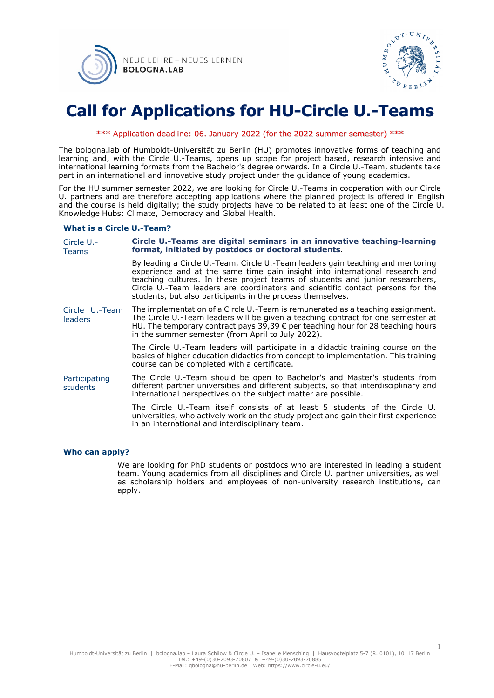



## **Call for Applications for HU-Circle U.-Teams**

#### \*\*\* Application deadline: 06. January 2022 (for the 2022 summer semester) \*\*\*

The bologna.lab of Humboldt-Universität zu Berlin (HU) promotes innovative forms of teaching and learning and, with the Circle U.-Teams, opens up scope for project based, research intensive and international learning formats from the Bachelor's degree onwards. In a Circle U.-Team, students take part in an international and innovative study project under the guidance of young academics.

For the HU summer semester 2022, we are looking for Circle U.-Teams in cooperation with our Circle U. partners and are therefore accepting applications where the planned project is offered in English and the course is held digitally; the study projects have to be related to at least one of the Circle U. Knowledge Hubs: Climate, Democracy and Global Health.

#### **What is a Circle U.-Team?**

| Circle U.-<br><b>Teams</b> | Circle U.-Teams are digital seminars in an innovative teaching-learning<br>format, initiated by postdocs or doctoral students.                                                                                                                                                                                                                                                                   |
|----------------------------|--------------------------------------------------------------------------------------------------------------------------------------------------------------------------------------------------------------------------------------------------------------------------------------------------------------------------------------------------------------------------------------------------|
|                            | By leading a Circle U.-Team, Circle U.-Team leaders gain teaching and mentoring<br>experience and at the same time gain insight into international research and<br>teaching cultures. In these project teams of students and junior researchers,<br>Circle U.-Team leaders are coordinators and scientific contact persons for the<br>students, but also participants in the process themselves. |
| Circle U.-Team<br>leaders  | The implementation of a Circle U.-Team is remunerated as a teaching assignment.<br>The Circle U.-Team leaders will be given a teaching contract for one semester at<br>HU. The temporary contract pays 39,39 € per teaching hour for 28 teaching hours<br>in the summer semester (from April to July 2022).                                                                                      |
|                            | The Circle U.-Team leaders will participate in a didactic training course on the<br>basics of higher education didactics from concept to implementation. This training<br>course can be completed with a certificate.                                                                                                                                                                            |
| Participating<br>students  | The Circle U.-Team should be open to Bachelor's and Master's students from<br>different partner universities and different subjects, so that interdisciplinary and<br>international perspectives on the subject matter are possible.                                                                                                                                                             |
|                            | The Circle U.-Team itself consists of at least 5 students of the Circle U.<br>universities, who actively work on the study project and gain their first experience<br>in an international and interdisciplinary team.                                                                                                                                                                            |

#### **Who can apply?**

We are looking for PhD students or postdocs who are interested in leading a student team. Young academics from all disciplines and Circle U. partner universities, as well as scholarship holders and employees of non-university research institutions, can apply.

1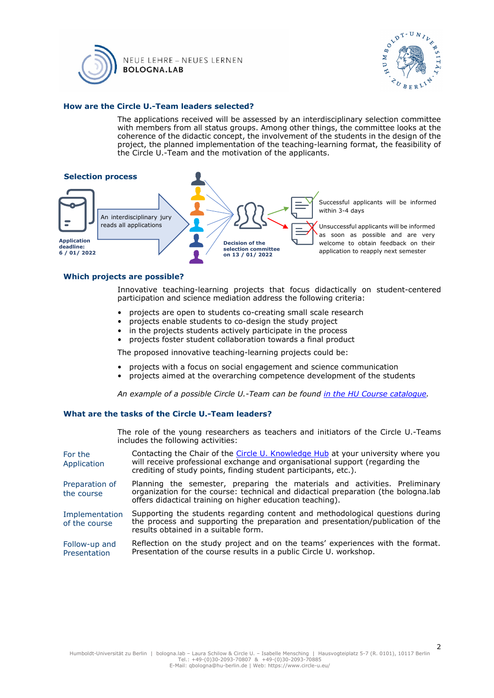



#### **How are the Circle U.-Team leaders selected?**

The applications received will be assessed by an interdisciplinary selection committee with members from all status groups. Among other things, the committee looks at the coherence of the didactic concept, the involvement of the students in the design of the project, the planned implementation of the teaching-learning format, the feasibility of the Circle U.-Team and the motivation of the applicants.



#### **Which projects are possible?**

Innovative teaching-learning projects that focus didactically on student-centered participation and science mediation address the following criteria:

- projects are open to students co-creating small scale research
- projects enable students to co-design the study project
- in the projects students actively participate in the process
- projects foster student collaboration towards a final product

The proposed innovative teaching-learning projects could be:

- projects with a focus on social engagement and science communication
- projects aimed at the overarching competence development of the students

*An example of a possible Circle U.-Team can be found [in the HU Course catalogue.](https://agnes.hu-berlin.de/lupo/rds?state=verpublish&status=init&vmfile=no&publishid=189255&moduleCall=webInfo&publishConfFile=webInfo&publishSubDir=veranstaltung)*

#### **What are the tasks of the Circle U.-Team leaders?**

The role of the young researchers as teachers and initiators of the Circle U.-Teams includes the following activities:

- For the Application Contacting the Chair of the [Circle U. Knowledge Hub](https://www.circle-u.eu/initiatives/knowledge-hubs/) at your university where you will receive professional exchange and organisational support (regarding the crediting of study points, finding student participants, etc.).
- Preparation of the course Planning the semester, preparing the materials and activities. Preliminary organization for the course: technical and didactical preparation (the bologna.lab offers didactical training on higher education teaching).
- Implementation of the course Supporting the students regarding content and methodological questions during the process and supporting the preparation and presentation/publication of the results obtained in a suitable form.
- Follow-up and Presentation Reflection on the study project and on the teams' experiences with the format. Presentation of the course results in a public Circle U. workshop.

2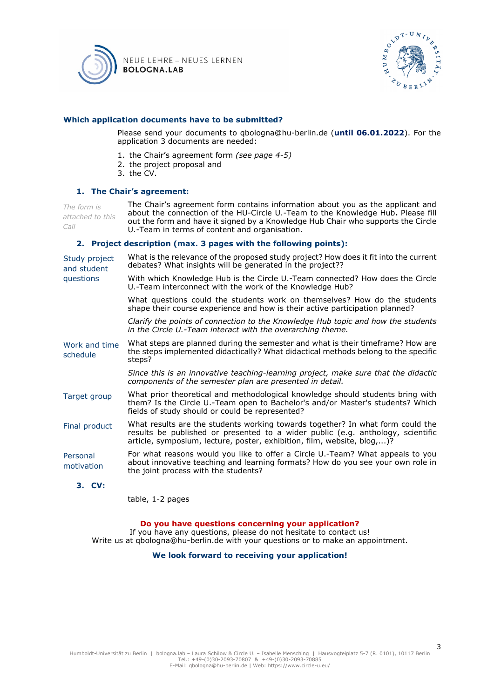



#### **Which application documents have to be submitted?**

Please send your documents to qbologna@hu-berlin.de (**until 06.01.2022**). For the application 3 documents are needed:

- 1. the Chair's agreement form *(see page 4-5)*
- 2. the project proposal and
- 3. the CV.

#### **1. The Chair's agreement:**

*The form is attached to this Call* The Chair's agreement form contains information about you as the applicant and about the connection of the HU-Circle U.-Team to the Knowledge Hub**.** Please fill out the form and have it signed by a Knowledge Hub Chair who supports the Circle U.-Team in terms of content and organisation.

#### **2. Project description (max. 3 pages with the following points):**

| Study project<br>and student<br>questions | What is the relevance of the proposed study project? How does it fit into the current<br>debates? What insights will be generated in the project??                                                                                           |
|-------------------------------------------|----------------------------------------------------------------------------------------------------------------------------------------------------------------------------------------------------------------------------------------------|
|                                           | With which Knowledge Hub is the Circle U.-Team connected? How does the Circle<br>U.-Team interconnect with the work of the Knowledge Hub?                                                                                                    |
|                                           | What questions could the students work on themselves? How do the students<br>shape their course experience and how is their active participation planned?                                                                                    |
|                                           | Clarify the points of connection to the Knowledge Hub topic and how the students<br>in the Circle U.-Team interact with the overarching theme.                                                                                               |
| Work and time<br>schedule                 | What steps are planned during the semester and what is their timeframe? How are<br>the steps implemented didactically? What didactical methods belong to the specific<br>steps?                                                              |
|                                           | Since this is an innovative teaching-learning project, make sure that the didactic<br>components of the semester plan are presented in detail.                                                                                               |
| Target group                              | What prior theoretical and methodological knowledge should students bring with<br>them? Is the Circle U.-Team open to Bachelor's and/or Master's students? Which<br>fields of study should or could be represented?                          |
| Final product                             | What results are the students working towards together? In what form could the<br>results be published or presented to a wider public (e.g. anthology, scientific<br>article, symposium, lecture, poster, exhibition, film, website, blog,)? |
| Personal<br>motivation                    | For what reasons would you like to offer a Circle U.-Team? What appeals to you<br>about innovative teaching and learning formats? How do you see your own role in<br>the joint process with the students?                                    |

#### **3. CV:**

table, 1-2 pages

#### **Do you have questions concerning your application?**

If you have any questions, please do not hesitate to contact us! Write us at qbologna@hu-berlin.de with your questions or to make an appointment.

**We look forward to receiving your application!**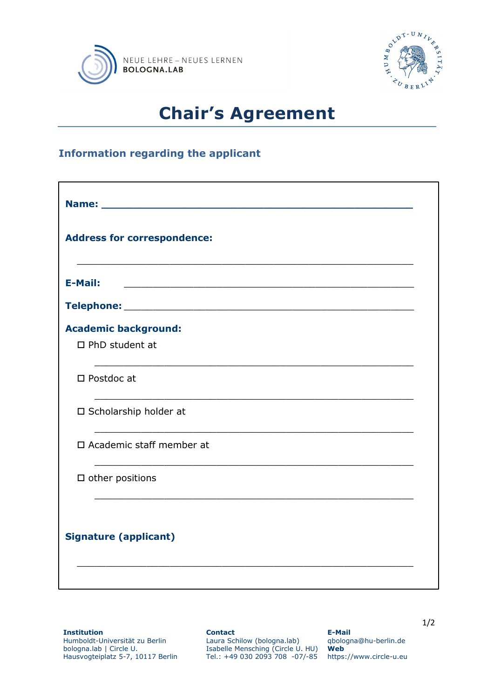



# **Chair's Agreement**

## **Information regarding the applicant**

| <b>Address for correspondence:</b> |  |  |  |
|------------------------------------|--|--|--|
| <b>E-Mail:</b>                     |  |  |  |
|                                    |  |  |  |
| <b>Academic background:</b>        |  |  |  |
| $\Box$ PhD student at              |  |  |  |
| $\square$ Postdoc at               |  |  |  |
| □ Scholarship holder at            |  |  |  |
| □ Academic staff member at         |  |  |  |
| $\square$ other positions          |  |  |  |
| <b>Signature (applicant)</b>       |  |  |  |

**Institution** Humboldt-Universität zu Berlin bologna.lab | Circle U. Hausvogteiplatz 5-7, 10117 Berlin **Contact**

Laura Schilow (bologna.lab) Isabelle Mensching (Circle U. HU) Tel.: +49 030 2093 708 -07/-85

**E-Mail** qbologna@hu-berlin.de **Web** https://www.circle-u.eu